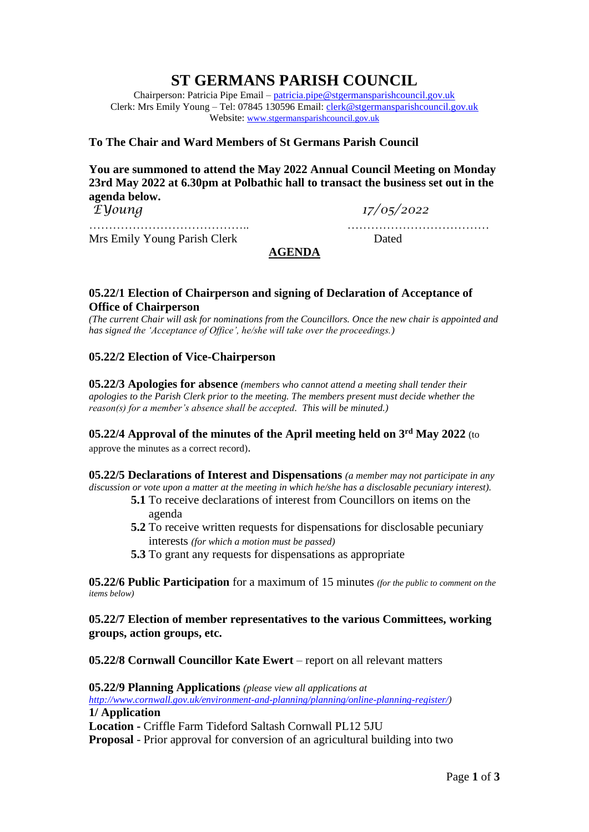# **ST GERMANS PARISH COUNCIL**

Chairperson: Patricia Pipe Email – [patricia.pipe@stgermansparishcouncil.gov.uk](mailto:patricia.pipe@stgermansparishcouncil.gov.uk) Clerk: Mrs Emily Young – Tel: 07845 130596 Email: [clerk@stgermansparishcouncil.gov.uk](mailto:clerk@stgermansparishcouncil.gov.uk) Website: [www.stgermansparishcouncil.gov.uk](http://www.stgermansparishcouncil.gov.uk/)

## **To The Chair and Ward Members of St Germans Parish Council**

**You are summoned to attend the May 2022 Annual Council Meeting on Monday 23rd May 2022 at 6.30pm at Polbathic hall to transact the business set out in the agenda below.**

*EYoung 17/05/2022*

………………………………….. ……………………………… Mrs Emily Young Parish Clerk Dated

# **AGENDA**

#### **05.22/1 Election of Chairperson and signing of Declaration of Acceptance of Office of Chairperson**

*(The current Chair will ask for nominations from the Councillors. Once the new chair is appointed and has signed the 'Acceptance of Office', he/she will take over the proceedings.)*

#### **05.22/2 Election of Vice-Chairperson**

**05.22/3 Apologies for absence** *(members who cannot attend a meeting shall tender their apologies to the Parish Clerk prior to the meeting. The members present must decide whether the reason(s) for a member's absence shall be accepted. This will be minuted.)*

**05.22/4 Approval of the minutes of the April meeting held on 3 rd May 2022** (to

approve the minutes as a correct record).

**05.22/5 Declarations of Interest and Dispensations** *(a member may not participate in any discussion or vote upon a matter at the meeting in which he/she has a disclosable pecuniary interest).*

- **5.1** To receive declarations of interest from Councillors on items on the agenda
- **5.2** To receive written requests for dispensations for disclosable pecuniary interests *(for which a motion must be passed)*
- **5.3** To grant any requests for dispensations as appropriate

**05.22/6 Public Participation** for a maximum of 15 minutes *(for the public to comment on the items below)*

**05.22/7 Election of member representatives to the various Committees, working groups, action groups, etc.**

**05.22/8 Cornwall Councillor Kate Ewert** – report on all relevant matters

**05.22/9 Planning Applications** *(please view all applications at [http://www.cornwall.gov.uk/environment-and-planning/planning/online-planning-register/\)](http://www.cornwall.gov.uk/environment-and-planning/planning/online-planning-register/)* **1/ Application Location -** Criffle Farm Tideford Saltash Cornwall PL12 5JU **Proposal** - Prior approval for conversion of an agricultural building into two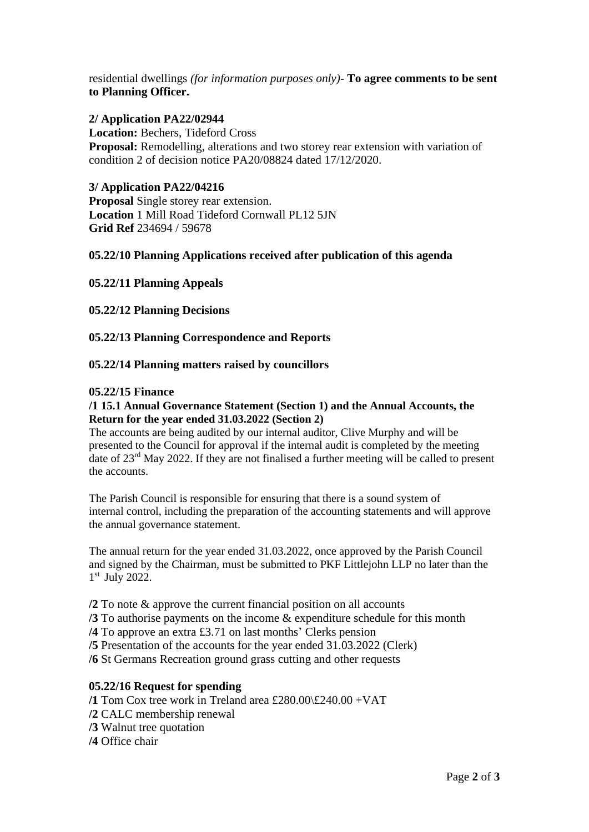residential dwellings *(for information purposes only)-* **To agree comments to be sent to Planning Officer.**

## **2/ Application PA22/02944**

**Location:** Bechers, Tideford Cross **Proposal:** Remodelling, alterations and two storey rear extension with variation of condition 2 of decision notice PA20/08824 dated 17/12/2020.

## **3/ Application PA22/04216**

**Proposal** Single storey rear extension. **Location** 1 Mill Road Tideford Cornwall PL12 5JN **Grid Ref** 234694 / 59678

## **05.22/10 Planning Applications received after publication of this agenda**

## **05.22/11 Planning Appeals**

## **05.22/12 Planning Decisions**

**05.22/13 Planning Correspondence and Reports**

## **05.22/14 Planning matters raised by councillors**

#### **05.22/15 Finance**

#### **/1 15.1 Annual Governance Statement (Section 1) and the Annual Accounts, the Return for the year ended 31.03.2022 (Section 2)**

The accounts are being audited by our internal auditor, Clive Murphy and will be presented to the Council for approval if the internal audit is completed by the meeting date of 23rd May 2022. If they are not finalised a further meeting will be called to present the accounts.

The Parish Council is responsible for ensuring that there is a sound system of internal control, including the preparation of the accounting statements and will approve the annual governance statement.

The annual return for the year ended 31.03.2022, once approved by the Parish Council and signed by the Chairman, must be submitted to PKF Littlejohn LLP no later than the 1st July 2022.

**/2** To note & approve the current financial position on all accounts

- **/3** To authorise payments on the income & expenditure schedule for this month
- **/4** To approve an extra £3.71 on last months' Clerks pension
- **/5** Presentation of the accounts for the year ended 31.03.2022 (Clerk)

**/6** St Germans Recreation ground grass cutting and other requests

#### **05.22/16 Request for spending**

- **/1** Tom Cox tree work in Treland area £280.00\£240.00 +VAT
- **/2** CALC membership renewal
- **/3** Walnut tree quotation
- **/4** Office chair